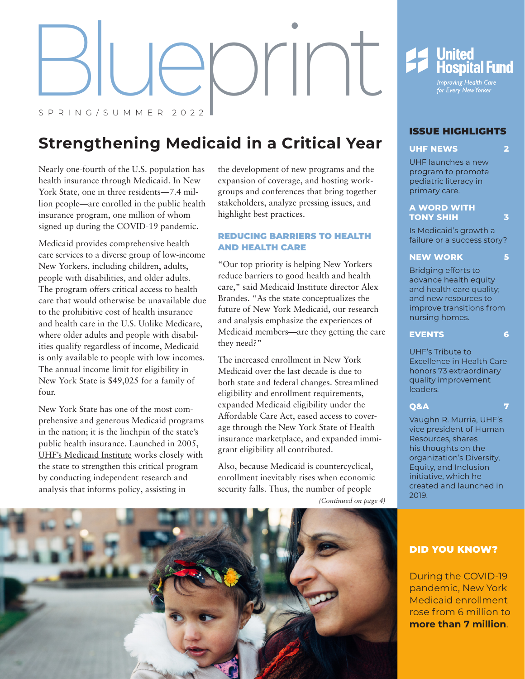eprint SPRING/SUMMER 2022

# **Strengthening Medicaid in a Critical Year**

Nearly one-fourth of the U.S. population has health insurance through Medicaid. In New York State, one in three residents—7.4 million people—are enrolled in the public health insurance program, one million of whom signed up during the COVID-19 pandemic.

Medicaid provides comprehensive health care services to a diverse group of low-income New Yorkers, including children, adults, people with disabilities, and older adults. The program offers critical access to health care that would otherwise be unavailable due to the prohibitive cost of health insurance and health care in the U.S. Unlike Medicare, where older adults and people with disabilities qualify regardless of income, Medicaid is only available to people with low incomes. The annual income limit for eligibility in New York State is \$49,025 for a family of four.

New York State has one of the most comprehensive and generous Medicaid programs in the nation; it is the linchpin of the state's public health insurance. Launched in 2005, [UHF's Medicaid Institute](https://uhfnyc.org/our-work/initiatives/medicaid-institute/) works closely with the state to strengthen this critical program by conducting independent research and analysis that informs policy, assisting in

the development of new programs and the expansion of coverage, and hosting workgroups and conferences that bring together stakeholders, analyze pressing issues, and highlight best practices.

#### REDUCING BARRIERS TO HEALTH AND HEALTH CARE

"Our top priority is helping New Yorkers reduce barriers to good health and health care," said Medicaid Institute director Alex Brandes. "As the state conceptualizes the future of New York Medicaid, our research and analysis emphasize the experiences of Medicaid members—are they getting the care they need?"

The increased enrollment in New York Medicaid over the last decade is due to both state and federal changes. Streamlined eligibility and enrollment requirements, expanded Medicaid eligibility under the Affordable Care Act, eased access to coverage through the New York State of Health insurance marketplace, and expanded immigrant eligibility all contributed.

Also, because Medicaid is countercyclical, enrollment inevitably rises when economic security falls. Thus, the number of people

*(Continued on page 4)*





#### ISSUE HIGHLIGHTS

#### **UHF NEWS [2](#page-1-0)**

UHF launches a new program to promote pediatric lite[ra](#page-1-0)cy in primary care.

#### **[A WORD WITH](#page-2-0)  [TONY SHIH](#page-2-0) 3**

Is Medicaid's growth a failure or a success story?

#### **NEW WORK [5](#page-4-0)**

Bridging efforts to advance health equity and health care quality; and new resources to improve transitions from nursing homes.

#### **EVENTS [6](#page-5-0)**

UHF's Tribute to Excellence in Health Care honors 73 extraordinary quality [im](#page-5-0)provement leaders.

#### **[Q&A](#page-6-0) 7**

Vaughn R. Murria, UHF's vice president of Human Resources, shares his thoughts on the organization's Diversity, Equity, and Inclusion initiative, which he created and launched in 2019.

#### DID YOU KNOW?

During the COVID-19 pandemic, New York Medicaid enrollment rose from 6 million to **more than 7 million**.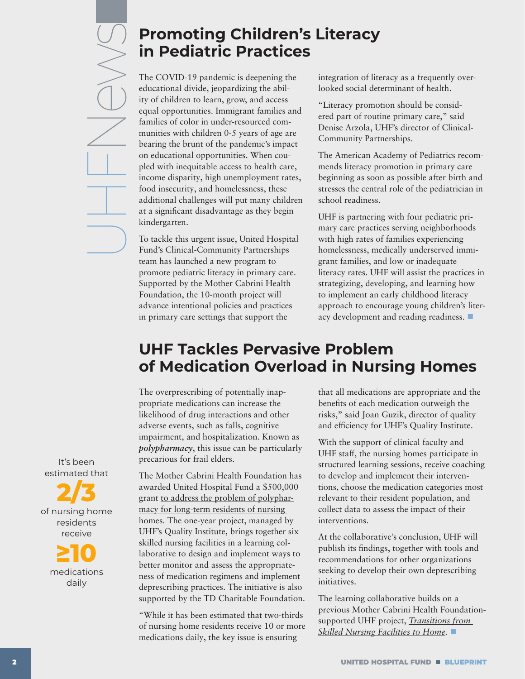<span id="page-1-0"></span>UHFNeyv<sub>S</sub>

## **Promoting Children's Literacy in Pediatric Practices**

The COVID-19 pandemic is deepening the educational divide, jeopardizing the ability of children to learn, grow, and access equal opportunities. Immigrant families and families of color in under-resourced communities with children 0-5 years of age are bearing the brunt of the pandemic's impact on educational opportunities. When coupled with inequitable access to health care, income disparity, high unemployment rates, food insecurity, and homelessness, these additional challenges will put many children at a significant disadvantage as they begin kindergarten.

To tackle this urgent issue, United Hospital Fund's Clinical-Community Partnerships team has launched a new program to promote pediatric literacy in primary care. Supported by the Mother Cabrini Health Foundation, the 10-month project will advance intentional policies and practices in primary care settings that support the

integration of literacy as a frequently overlooked social determinant of health.

"Literacy promotion should be considered part of routine primary care," said Denise Arzola, UHF's director of Clinical-Community Partnerships.

The American Academy of Pediatrics recommends literacy promotion in primary care beginning as soon as possible after birth and stresses the central role of the pediatrician in school readiness.

UHF is partnering with four pediatric primary care practices serving neighborhoods with high rates of families experiencing homelessness, medically underserved immigrant families, and low or inadequate literacy rates. UHF will assist the practices in strategizing, developing, and learning how to implement an early childhood literacy approach to encourage young children's literacy development and reading readiness.

# **UHF Tackles Pervasive Problem of Medication Overload in Nursing Homes**

The overprescribing of potentially inappropriate medications can increase the likelihood of drug interactions and other adverse events, such as falls, cognitive impairment, and hospitalization. Known as *polypharmacy*, this issue can be particularly precarious for frail elders.

The Mother Cabrini Health Foundation has awarded United Hospital Fund a \$500,000 grant [to address the problem of polyphar](https://uhfnyc.org/our-work/initiatives/quality-institute/polypharmacy/)[macy for long-term residents of nursing](https://uhfnyc.org/our-work/initiatives/quality-institute/polypharmacy/)  [homes.](https://uhfnyc.org/our-work/initiatives/quality-institute/polypharmacy/) The one-year project, managed by UHF's Quality Institute, brings together six skilled nursing facilities in a learning collaborative to design and implement ways to better monitor and assess the appropriateness of medication regimens and implement deprescribing practices. The initiative is also supported by the TD Charitable Foundation.

"While it has been estimated that two-thirds of nursing home residents receive 10 or more medications daily, the key issue is ensuring

that all medications are appropriate and the benefits of each medication outweigh the risks," said Joan Guzik, director of quality and efficiency for UHF's Quality Institute.

With the support of clinical faculty and UHF staff, the nursing homes participate in structured learning sessions, receive coaching to develop and implement their interventions, choose the medication categories most relevant to their resident population, and collect data to assess the impact of their interventions.

At the collaborative's conclusion, UHF will publish its findings, together with tools and recommendations for other organizations seeking to develop their own deprescribing initiatives.

The learning collaborative builds on a previous Mother Cabrini Health Foundationsupported UHF project, *[Transitions from](https://uhfnyc.org/our-work/initiatives/quality-institute/snf-learning-collaborative/)  [Skilled Nursing Facilities to Home](https://uhfnyc.org/our-work/initiatives/quality-institute/snf-learning-collaborative/)*.

It's been estimated that

**2/3** of nursing home residents receive

> **≥10** medications daily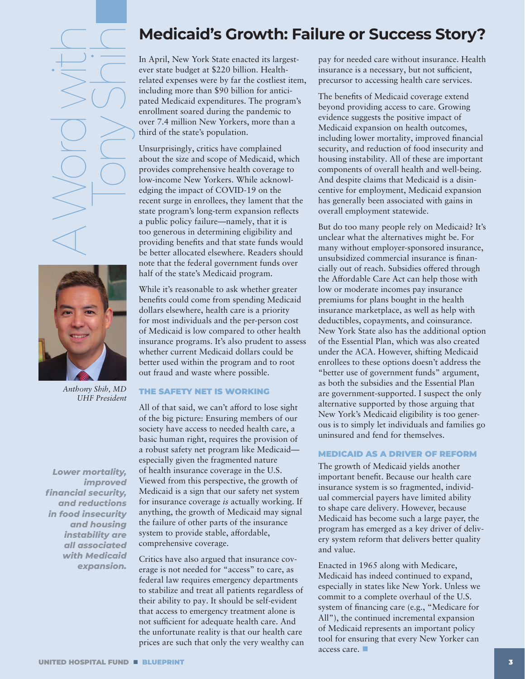<span id="page-2-0"></span>A Word with Tony Shih



*Anthony Shih, MD UHF President*

*Lower mortality, improved financial security, and reductions in food insecurity and housing instability are all associated with Medicaid expansion.*

### **Medicaid's Growth: Failure or Success Story?**

In April, New York State enacted its largestever state budget at \$220 billion. Healthrelated expenses were by far the costliest item, including more than \$90 billion for anticipated Medicaid expenditures. The program's enrollment soared during the pandemic to over 7.4 million New Yorkers, more than a third of the state's population.

Unsurprisingly, critics have complained about the size and scope of Medicaid, which provides comprehensive health coverage to low-income New Yorkers. While acknowledging the impact of COVID-19 on the recent surge in enrollees, they lament that the state program's long-term expansion reflects a public policy failure—namely, that it is too generous in determining eligibility and providing benefits and that state funds would be better allocated elsewhere. Readers should note that the federal government funds over half of the state's Medicaid program.

While it's reasonable to ask whether greater benefits could come from spending Medicaid dollars elsewhere, health care is a priority for most individuals and the per-person cost of Medicaid is low compared to other health insurance programs. It's also prudent to assess whether current Medicaid dollars could be better used within the program and to root out fraud and waste where possible.

#### THE SAFETY NET IS WORKING

All of that said, we can't afford to lose sight of the big picture: Ensuring members of our society have access to needed health care, a basic human right, requires the provision of a robust safety net program like Medicaid especially given the fragmented nature of health insurance coverage in the U.S. Viewed from this perspective, the growth of Medicaid is a sign that our safety net system for insurance coverage *is* actually working. If anything, the growth of Medicaid may signal the failure of other parts of the insurance system to provide stable, affordable, comprehensive coverage.

Critics have also argued that insurance coverage is not needed for "access" to care, as federal law requires emergency departments to stabilize and treat all patients regardless of their ability to pay. It should be self-evident that access to emergency treatment alone is not sufficient for adequate health care. And the unfortunate reality is that our health care prices are such that only the very wealthy can pay for needed care without insurance. Health insurance is a necessary, but not sufficient, precursor to accessing health care services.

The benefits of Medicaid coverage extend beyond providing access to care. Growing evidence suggests the positive impact of Medicaid expansion on health outcomes, including lower mortality, improved financial security, and reduction of food insecurity and housing instability. All of these are important components of overall health and well-being. And despite claims that Medicaid is a disincentive for employment, Medicaid expansion has generally been associated with gains in overall employment statewide.

But do too many people rely on Medicaid? It's unclear what the alternatives might be. For many without employer-sponsored insurance, unsubsidized commercial insurance is financially out of reach. Subsidies offered through the Affordable Care Act can help those with low or moderate incomes pay insurance premiums for plans bought in the health insurance marketplace, as well as help with deductibles, copayments, and coinsurance. New York State also has the additional option of the Essential Plan, which was also created under the ACA. However, shifting Medicaid enrollees to these options doesn't address the "better use of government funds" argument, as both the subsidies and the Essential Plan are government-supported. I suspect the only alternative supported by those arguing that New York's Medicaid eligibility is too generous is to simply let individuals and families go uninsured and fend for themselves.

#### MEDICAID AS A DRIVER OF REFORM

The growth of Medicaid yields another important benefit. Because our health care insurance system is so fragmented, individual commercial payers have limited ability to shape care delivery. However, because Medicaid has become such a large payer, the program has emerged as a key driver of delivery system reform that delivers better quality and value.

Enacted in 1965 along with Medicare, Medicaid has indeed continued to expand, especially in states like New York. Unless we commit to a complete overhaul of the U.S. system of financing care (e.g., "Medicare for All"), the continued incremental expansion of Medicaid represents an important policy tool for ensuring that every New Yorker can access care.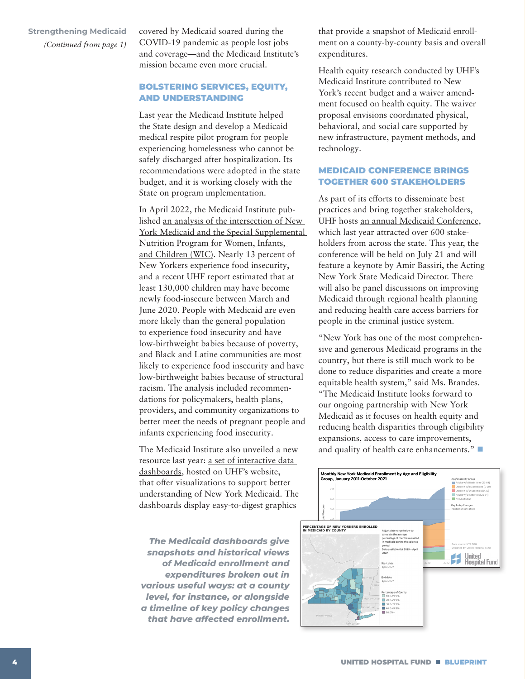covered by Medicaid soared during the COVID-19 pandemic as people lost jobs and coverage—and the Medicaid Institute's mission became even more crucial.

#### BOLSTERING SERVICES, EQUITY, AND UNDERSTANDING

Last year the Medicaid Institute helped the State design and develop a Medicaid medical respite pilot program for people experiencing homelessness who cannot be safely discharged after hospitalization. Its recommendations were adopted in the state budget, and it is working closely with the State on program implementation.

In April 2022, the Medicaid Institute published [an analysis of the intersection of New](https://uhfnyc.org/publications/publication/wic-opportunities-commentary/)  [York Medicaid and the Special Supplemental](https://uhfnyc.org/publications/publication/wic-opportunities-commentary/)  [Nutrition Program for Women, Infants,](https://uhfnyc.org/publications/publication/wic-opportunities-commentary/)  [and Children \(WIC\).](https://uhfnyc.org/publications/publication/wic-opportunities-commentary/) Nearly 13 percent of New Yorkers experience food insecurity, and a recent UHF report estimated that at least 130,000 children may have become newly food-insecure between March and June 2020. People with Medicaid are even more likely than the general population to experience food insecurity and have low-birthweight babies because of poverty, and Black and Latine communities are most likely to experience food insecurity and have low-birthweight babies because of structural racism. The analysis included recommendations for policymakers, health plans, providers, and community organizations to better meet the needs of pregnant people and infants experiencing food insecurity.

The Medicaid Institute also unveiled a new resource last year: [a set of interactive data](https://uhfnyc.org/our-work/initiatives/medicaid-institute/dashboards/)  [dashboards,](https://uhfnyc.org/our-work/initiatives/medicaid-institute/dashboards/) hosted on UHF's website, that offer visualizations to support better understanding of New York Medicaid. The dashboards display easy-to-digest graphics

*The Medicaid dashboards give snapshots and historical views of Medicaid enrollment and expenditures broken out in various useful ways: at a county level, for instance, or alongside a timeline of key policy changes that have affected enrollment.*

that provide a snapshot of Medicaid enrollment on a county-by-county basis and overall expenditures.

Health equity research conducted by UHF's Medicaid Institute contributed to New York's recent budget and a waiver amendment focused on health equity. The waiver proposal envisions coordinated physical, behavioral, and social care supported by new infrastructure, payment methods, and technology.

#### MEDICAID CONFERENCE BRINGS TOGETHER 600 STAKEHOLDERS

As part of its efforts to disseminate best practices and bring together stakeholders, UHF hosts [an annual Medicaid Conference](https://uhfnyc.org/our-work/initiatives/medicaid-institute/conference/), which last year attracted over 600 stakeholders from across the state. This year, the conference will be held on July 21 and will feature a keynote by Amir Bassiri, the Acting New York State Medicaid Director. There will also be panel discussions on improving Medicaid through regional health planning and reducing health care access barriers for people in the criminal justice system.

"New York has one of the most comprehensive and generous Medicaid programs in the country, but there is still much work to be done to reduce disparities and create a more equitable health system," said Ms. Brandes. "The Medicaid Institute looks forward to our ongoing partnership with New York Medicaid as it focuses on health equity and reducing health disparities through eligibility expansions, access to care improvements, and quality of health care enhancements."

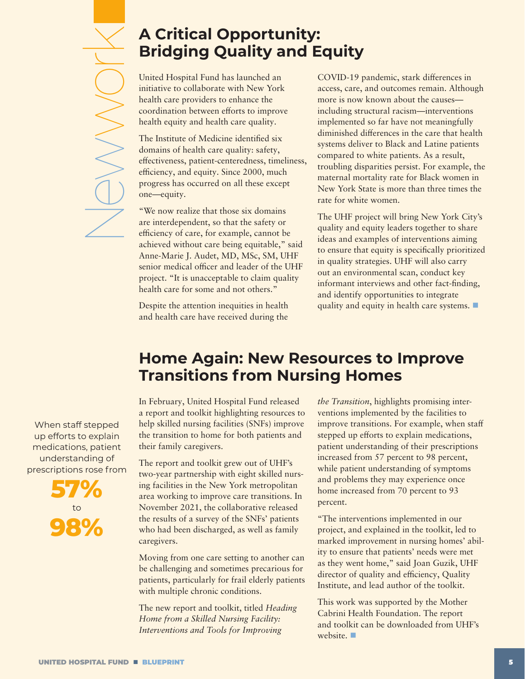# <span id="page-4-0"></span>Newwork **UNIVAL**

## **A Critical Opportunity: Bridging Quality and Equity**

United Hospital Fund has launched an initiative to collaborate with New York health care providers to enhance the coordination between efforts to improve health equity and health care quality.

The Institute of Medicine identified six domains of health care quality: safety, effectiveness, patient-centeredness, timeliness, efficiency, and equity. Since 2000, much progress has occurred on all these except one—equity.

"We now realize that those six domains are interdependent, so that the safety or efficiency of care, for example, cannot be achieved without care being equitable," said Anne-Marie J. Audet, MD, MSc, SM, UHF senior medical officer and leader of the UHF project. "It is unacceptable to claim quality health care for some and not others."

Despite the attention inequities in health and health care have received during the

COVID-19 pandemic, stark differences in access, care, and outcomes remain. Although more is now known about the causes including structural racism—interventions implemented so far have not meaningfully diminished differences in the care that health systems deliver to Black and Latine patients compared to white patients. As a result, troubling disparities persist. For example, the maternal mortality rate for Black women in New York State is more than three times the rate for white women.

The UHF project will bring New York City's quality and equity leaders together to share ideas and examples of interventions aiming to ensure that equity is specifically prioritized in quality strategies. UHF will also carry out an environmental scan, conduct key informant interviews and other fact-finding, and identify opportunities to integrate quality and equity in health care systems.

# **Home Again: New Resources to Improve Transitions from Nursing Homes**

In February, United Hospital Fund released a report and toolkit highlighting resources to help skilled nursing facilities (SNFs) improve the transition to home for both patients and their family caregivers.

The report and toolkit grew out of UHF's two-year partnership with eight skilled nursing facilities in the New York metropolitan area working to improve care transitions. In November 2021, the collaborative released the results of a survey of the SNFs' patients who had been discharged, as well as family caregivers.

Moving from one care setting to another can be challenging and sometimes precarious for patients, particularly for frail elderly patients with multiple chronic conditions.

The new report and toolkit, titled *[Heading](Heading Home from a Skilled Nursing Facility: Interventions and Tools for Improving the Transition)  [Home from a Skilled Nursing Facility:](Heading Home from a Skilled Nursing Facility: Interventions and Tools for Improving the Transition)  [Interventions and Tools for Improving](Heading Home from a Skilled Nursing Facility: Interventions and Tools for Improving the Transition)* 

*[the Transition](Heading Home from a Skilled Nursing Facility: Interventions and Tools for Improving the Transition)*, highlights promising interventions implemented by the facilities to improve transitions. For example, when staff stepped up efforts to explain medications, patient understanding of their prescriptions increased from 57 percent to 98 percent, while patient understanding of symptoms and problems they may experience once home increased from 70 percent to 93 percent.

"The interventions implemented in our project, and explained in the toolkit, led to marked improvement in nursing homes' ability to ensure that patients' needs were met as they went home," said Joan Guzik, UHF director of quality and efficiency, Quality Institute, and lead author of the toolkit.

This work was supported by the Mother Cabrini Health Foundation. The report and toolkit can be downloaded from UHF's website.  $\blacksquare$ 

When staff stepped up efforts to explain medications, patient understanding of prescriptions rose from

> **57%** to **98%**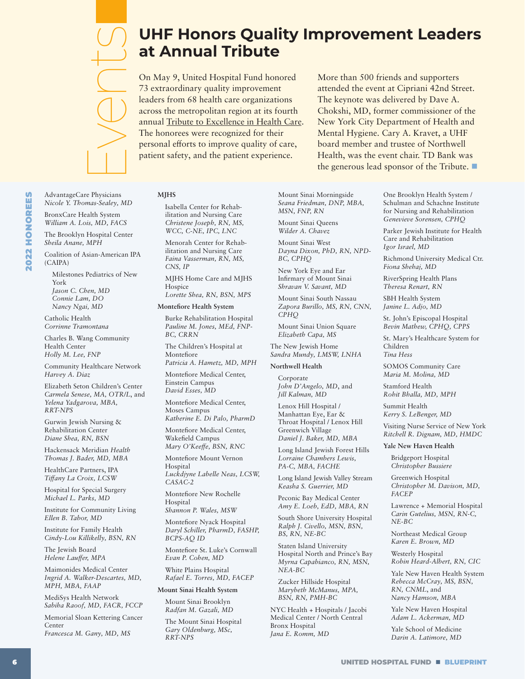# <span id="page-5-0"></span>Events

AdvantageCare Physicians *Nicole Y. Thomas-Sealey, MD*  BronxCare Health System *William A. Lois, MD, FACS* 

Milestones Pediatrics of New

Community Healthcare Network

Elizabeth Seton Children's Center *Carmela Senese, MA, OTR/L*, and *Yelena Yadgarova, MBA,* 

Gurwin Jewish Nursing & Rehabilitation Center *Diane Shea, RN, BSN*  Hackensack Meridian *Health Thomas J. Bader, MD, MBA*  HealthCare Partners, IPA *Tiffany La Croix, LCSW*  Hospital for Special Surgery *Michael L. Parks, MD* 

Institute for Community Living

*Ellen B. Tabor, MD*  Institute for Family Health *Cindy-Lou Killikelly, BSN, RN* 

The Jewish Board *Helene Lauffer, MPA*  Maimonides Medical Center *Ingrid A. Walker-Descartes, MD,* 

*MPH, MBA, FAAP*  MediSys Health Network *Sabiha Raoof, MD, FACR, FCCP*  Memorial Sloan Kettering Cancer

*Francesca M. Gany, MD, MS* 

Center

*Jason C. Chen, MD Connie Lam, DO Nancy Ngai, MD*  Catholic Health *Corrinne Tramontana*  Charles B. Wang Community

*Sheila Anane, MPH* 

(CAIPA)

York

Health Center *Holly M. Lee, FNP* 

*Harvey A. Diaz* 

*RRT-NPS* 

# **UHF Honors Quality Improvement Leaders at Annual Tribute**

On May 9, United Hospital Fund honored 73 extraordinary quality improvement leaders from 68 health care organizations across the metropolitan region at its fourth annual [Tribute to Excellence in Health Care.](http://Tribute to Excellence in Health Care) The honorees were recognized for their personal efforts to improve quality of care, patient safety, and the patient experience.

More than 500 friends and supporters attended the event at Cipriani 42nd Street. The keynote was delivered by Dave A. Chokshi, MD, former commissioner of the New York City Department of Health and Mental Hygiene. Cary A. Kravet, a UHF board member and trustee of Northwell Health, was the event chair. TD Bank was the generous lead sponsor of the Tribute.

#### **MJHS**

Isabella Center for Rehabilitation and Nursing Care *Christene Joseph, RN, MS, WCC, C-NE, IPC, LNC* 

Menorah Center for Rehabilitation and Nursing Care *Faina Vasserman, RN, MS, CNS, IP* 

MJHS Home Care and MJHS Hospice

Burke Rehabilitation Hospital *Pauline M. Jones, MEd, FNP-BC, CRRN* 

The Children's Hospital at Montefiore *Patricia A. Hametz, MD, MPH* 

*David Esses, MD* 

Montefiore Medical Center, Moses Campus

Montefiore Medical Center,

*Mary O'Keeffe, BSN, RNC* 

Hospital

Hospital

Montefiore Nyack Hospital

Montefiore St. Luke's Cornwall

White Plains Hospital *Rafael E. Torres, MD, FACEP* 

#### **Mount Sinai Health System**

Mount Sinai Brooklyn *Radfan M. Gazali, MD* 

The Mount Sinai Hospital *Gary Oldenburg, MSc, RRT-NPS* 

Mount Sinai Morningside *Seana Friedman, DNP, MBA, MSN, FNP, RN* 

Mount Sinai Queens *Wilder A. Chavez* 

Mount Sinai West *Dayna Dixon, PhD, RN, NPD-BC, CPHQ* 

New York Eye and Ear Infirmary of Mount Sinai *Shravan V. Savant, MD* 

Mount Sinai South Nassau *Zapora Burillo, MS, RN, CNN, CPHQ* 

Mount Sinai Union Square *Elizabeth Capa, MS* 

The New Jewish Home *Sandra Mundy, LMSW, LNHA* 

#### **Northwell Health**

Corporate *John D'Angelo, MD*, and *Jill Kalman, MD* 

Lenox Hill Hospital / Manhattan Eye, Ear & Throat Hospital / Lenox Hill Greenwich Village *Daniel J. Baker, MD, MBA* 

Long Island Jewish Forest Hills *Lorraine Chambers Lewis, PA-C, MBA, FACHE* 

Long Island Jewish Valley Stream *Keasha S. Guerrier, MD* 

Peconic Bay Medical Center *Amy E. Loeb, EdD, MBA, RN* 

South Shore University Hospital *Ralph J. Civello, MSN, BSN, BS, RN, NE-BC* 

Staten Island University Hospital North and Prince's Bay *Myrna Capabianco, RN, MSN, NEA-BC* 

Zucker Hillside Hospital *Marybeth McManus, MPA, BSN, RN, PMH-BC* 

NYC Health + Hospitals / Jacobi Medical Center / North Central Bronx Hospital *Jana E. Romm, MD* 

One Brooklyn Health System / Schulman and Schachne Institute for Nursing and Rehabilitation *Genevieve Sorensen, CPHQ* 

Parker Jewish Institute for Health Care and Rehabilitation *Igor Israel, MD* 

Richmond University Medical Ctr. *Fiona Shehaj, MD* 

RiverSpring Health Plans *Theresa Renart, RN* 

SBH Health System *Janine L. Adjo, MD* 

St. John's Episcopal Hospital *Bevin Mathew, CPHQ, CPPS*

St. Mary's Healthcare System for Children *Tina Hess* 

SOMOS Community Care *Maria M. Molina, MD* 

Stamford Health *Rohit Bhalla, MD, MPH* 

Summit Health *Kerry S. LeBenger, MD* 

Visiting Nurse Service of New York *Ritchell R. Dignam, MD, HMDC*

#### **Yale New Haven Health**

Bridgeport Hospital *Christopher Bussiere* 

Greenwich Hospital *Christopher M. Davison, MD, FACEP* 

Lawrence + Memorial Hospital *Carin Gutelius, MSN, RN-C, NE-BC* 

Northeast Medical Group *Karen E. Brown, MD*

Westerly Hospital *Robin Heard-Albert, RN, CIC* 

Yale New Haven Health System *Rebecca McCray, MS, BSN, RN, CNML*, and *Nancy Hamson, MBA* 

Yale New Haven Hospital *Adam L. Ackerman, MD* 

Yale School of Medicine *Darin A. Latimore, MD*

The Brooklyn Hospital Center

Coalition of Asian-American IPA

*Lorette Shea, RN, BSN, MPS* 

#### **Montefiore Health System**

Montefiore Medical Center, Einstein Campus

*Katherine E. Di Palo, PharmD* 

Wakefield Campus

Montefiore Mount Vernon

*Luckdjyne Labelle Neas, LCSW, CASAC-2* 

Montefiore New Rochelle

*Shannon P. Wales, MSW* 

*Daryl Schiller, PharmD, FASHP, BCPS-AQ ID* 

*Evan P. Cohen, MD*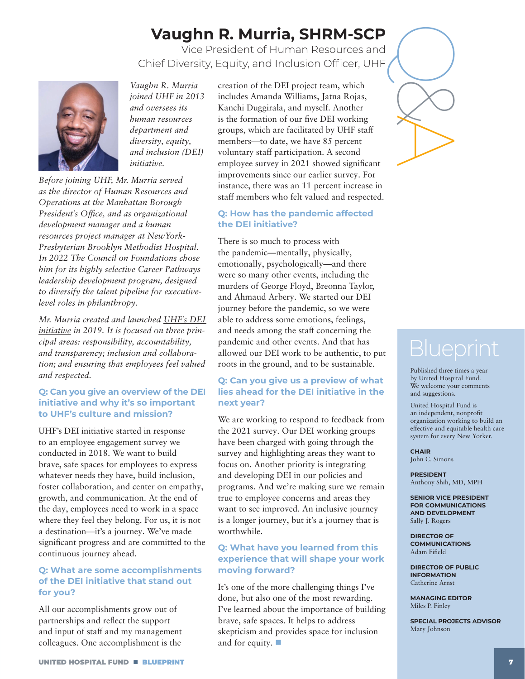# **Vaughn R. Murria, SHRM-SCP**

Q& Vice President of Human Resources and Chief Diversity, Equity, and Inclusion Officer, UHF

<span id="page-6-0"></span>

*Vaughn R. Murria joined UHF in 2013 and oversees its human resources diversity, equity, and inclusion (DEI) initiative.* 

*Before joining UHF, Mr. Murria served as the director of Human Resources and Operations at the Manhattan Borough President's Office, and as organizational development manager and a human resources project manager at NewYork-Presbyterian Brooklyn Methodist Hospital. In 2022 The Council on Foundations chose him for its highly selective Career Pathways leadership development program, designed to diversify the talent pipeline for executivelevel roles in philanthropy.* 

*Mr. Murria created and launched [UHF's DEI](https://uhfnyc.org/about/diversity-equity-inclusion/)  [initiative](https://uhfnyc.org/about/diversity-equity-inclusion/) in 2019. It is focused on three principal areas: responsibility, accountability, and transparency; inclusion and collaboration; and ensuring that employees feel valued and respected.*

#### **Q: Can you give an overview of the DEI initiative and why it's so important to UHF's culture and mission?**

UHF's DEI initiative started in response to an employee engagement survey we conducted in 2018. We want to build brave, safe spaces for employees to express whatever needs they have, build inclusion, foster collaboration, and center on empathy, growth, and communication. At the end of the day, employees need to work in a space where they feel they belong. For us, it is not a destination—it's a journey. We've made significant progress and are committed to the continuous journey ahead.

#### **Q: What are some accomplishments of the DEI initiative that stand out for you?**

All our accomplishments grow out of partnerships and reflect the support and input of staff and my management colleagues. One accomplishment is the

*department and* groups, which are facilitated by UHF staff<br>*diversity, equity,* members—to date, we have 85 percent<br>*and inclusion (DEI)* voluntary staff participation. A second<br>*initiative.* employee survey in 2021 showe creation of the DEI project team, which includes Amanda Williams, Jatna Rojas, Kanchi Duggirala, and myself. Another is the formation of our five DEI working groups, which are facilitated by UHF staff members—to date, we have 85 percent voluntary staff participation. A second employee survey in 2021 showed significant improvements since our earlier survey. For instance, there was an 11 percent increase in staff members who felt valued and respected.

#### **Q: How has the pandemic affected the DEI initiative?**

There is so much to process with the pandemic—mentally, physically, emotionally, psychologically—and there were so many other events, including the murders of George Floyd, Breonna Taylor, and Ahmaud Arbery. We started our DEI journey before the pandemic, so we were able to address some emotions, feelings, and needs among the staff concerning the pandemic and other events. And that has allowed our DEI work to be authentic, to put roots in the ground, and to be sustainable.

#### **Q: Can you give us a preview of what lies ahead for the DEI initiative in the next year?**

We are working to respond to feedback from the 2021 survey. Our DEI working groups have been charged with going through the survey and highlighting areas they want to focus on. Another priority is integrating and developing DEI in our policies and programs. And we're making sure we remain true to employee concerns and areas they want to see improved. An inclusive journey is a longer journey, but it's a journey that is worthwhile.

#### **Q: What have you learned from this experience that will shape your work moving forward?**

It's one of the more challenging things I've done, but also one of the most rewarding. I've learned about the importance of building brave, safe spaces. It helps to address skepticism and provides space for inclusion and for equity.  $\Box$ 

Published three times a year by United Hospital Fund. We welcome your comments and suggestions.

United Hospital Fund is an independent, nonprofit organization working to build an effective and equitable health care system for every New Yorker.

#### **CHAIR** John C. Simons

**PRESIDENT** Anthony Shih, MD, MPH

**SENIOR VICE PRESIDENT FOR COMMUNICATIONS AND DEVELOPMENT** Sally J. Rogers

**DIRECTOR OF COMMUNICATIONS** Adam Fifield

**DIRECTOR OF PUBLIC INFORMATION** Catherine Arnst

**MANAGING EDITOR** Miles P. Finley

**SPECIAL PROJECTS ADVISOR** Mary Johnson